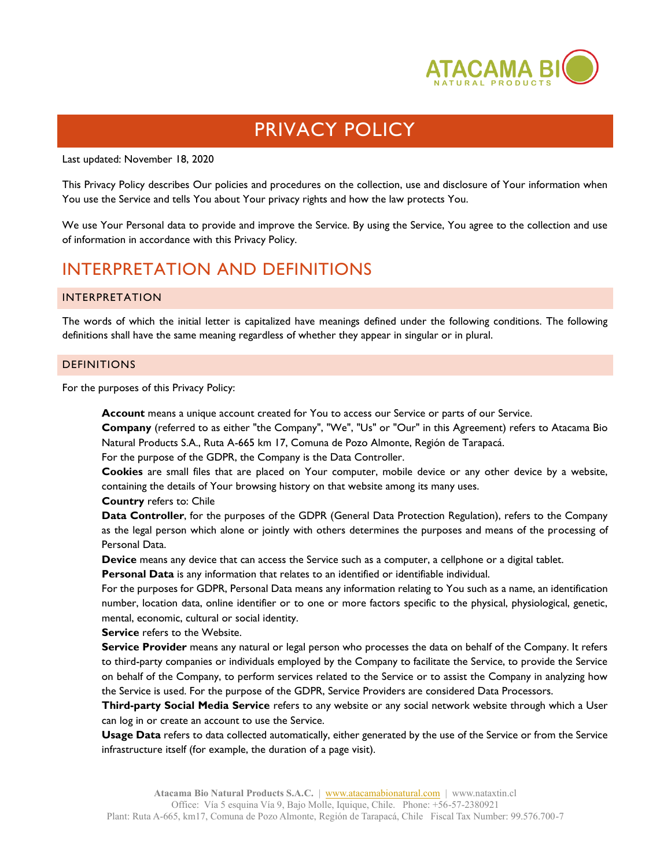

# PRIVACY POLICY

Last updated: November 18, 2020

This Privacy Policy describes Our policies and procedures on the collection, use and disclosure of Your information when You use the Service and tells You about Your privacy rights and how the law protects You.

We use Your Personal data to provide and improve the Service. By using the Service, You agree to the collection and use of information in accordance with this Privacy Policy.

## INTERPRETATION AND DEFINITIONS

## INTERPRETATION

The words of which the initial letter is capitalized have meanings defined under the following conditions. The following definitions shall have the same meaning regardless of whether they appear in singular or in plural.

## DEFINITIONS

For the purposes of this Privacy Policy:

Account means a unique account created for You to access our Service or parts of our Service.

**Company** (referred to as either "the Company", "We", "Us" or "Our" in this Agreement) refers to Atacama Bio Natural Products S.A., Ruta A-665 km 17, Comuna de Pozo Almonte, Región de Tarapacá.

For the purpose of the GDPR, the Company is the Data Controller.

**Cookies** are small files that are placed on Your computer, mobile device or any other device by a website, containing the details of Your browsing history on that website among its many uses.

**Country** refers to: Chile

**Data Controller**, for the purposes of the GDPR (General Data Protection Regulation), refers to the Company as the legal person which alone or jointly with others determines the purposes and means of the processing of Personal Data.

**Device** means any device that can access the Service such as a computer, a cellphone or a digital tablet.

**Personal Data** is any information that relates to an identified or identifiable individual.

For the purposes for GDPR, Personal Data means any information relating to You such as a name, an identification number, location data, online identifier or to one or more factors specific to the physical, physiological, genetic, mental, economic, cultural or social identity.

**Service** refers to the Website.

**Service Provider** means any natural or legal person who processes the data on behalf of the Company. It refers to third-party companies or individuals employed by the Company to facilitate the Service, to provide the Service on behalf of the Company, to perform services related to the Service or to assist the Company in analyzing how the Service is used. For the purpose of the GDPR, Service Providers are considered Data Processors.

**Third-party Social Media Service** refers to any website or any social network website through which a User can log in or create an account to use the Service.

**Usage Data** refers to data collected automatically, either generated by the use of the Service or from the Service infrastructure itself (for example, the duration of a page visit).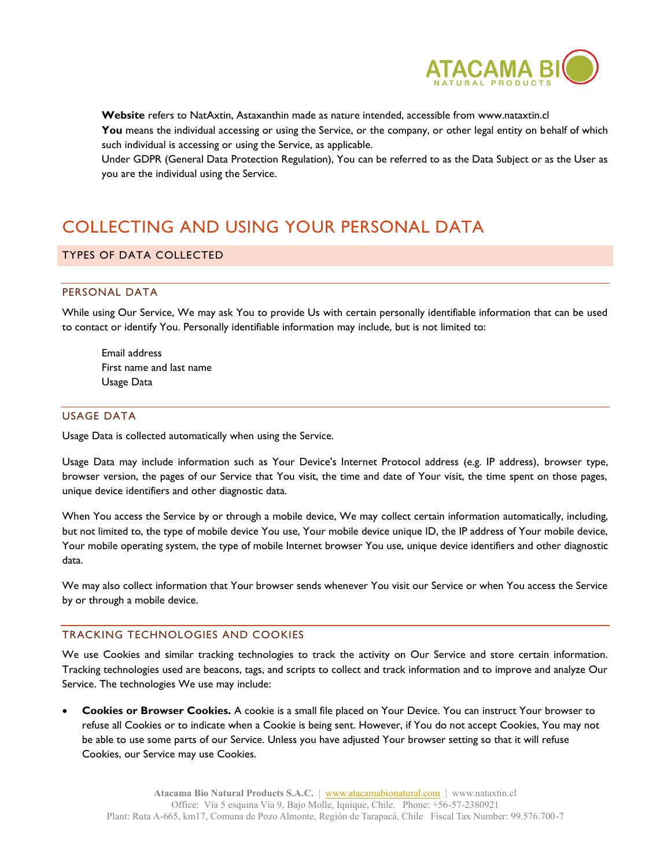

**Website** refers to NatAxtin, Astaxanthin made as nature intended, accessible from [www.nataxtin.cl](file:///C:/Users/jtare/Dropbox/Atacama%20Bio%20JTA/www.nataxtin.cl) You means the individual accessing or using the Service, or the company, or other legal entity on behalf of which such individual is accessing or using the Service, as applicable.

Under GDPR (General Data Protection Regulation), You can be referred to as the Data Subject or as the User as you are the individual using the Service.

## COLLECTING AND USING YOUR PERSONAL DATA

## TYPES OF DATA COLLECTED

## PERSONAL DATA

While using Our Service, We may ask You to provide Us with certain personally identifiable information that can be used to contact or identify You. Personally identifiable information may include, but is not limited to:

Email address First name and last name Usage Data

## USAGE DATA

Usage Data is collected automatically when using the Service.

Usage Data may include information such as Your Device's Internet Protocol address (e.g. IP address), browser type, browser version, the pages of our Service that You visit, the time and date of Your visit, the time spent on those pages, unique device identifiers and other diagnostic data.

When You access the Service by or through a mobile device, We may collect certain information automatically, including, but not limited to, the type of mobile device You use, Your mobile device unique ID, the IP address of Your mobile device, Your mobile operating system, the type of mobile Internet browser You use, unique device identifiers and other diagnostic data.

We may also collect information that Your browser sends whenever You visit our Service or when You access the Service by or through a mobile device.

## TRACKING TECHNOLOGIES AND COOKIES

We use Cookies and similar tracking technologies to track the activity on Our Service and store certain information. Tracking technologies used are beacons, tags, and scripts to collect and track information and to improve and analyze Our Service. The technologies We use may include:

• **Cookies or Browser Cookies.** A cookie is a small file placed on Your Device. You can instruct Your browser to refuse all Cookies or to indicate when a Cookie is being sent. However, if You do not accept Cookies, You may not be able to use some parts of our Service. Unless you have adjusted Your browser setting so that it will refuse Cookies, our Service may use Cookies.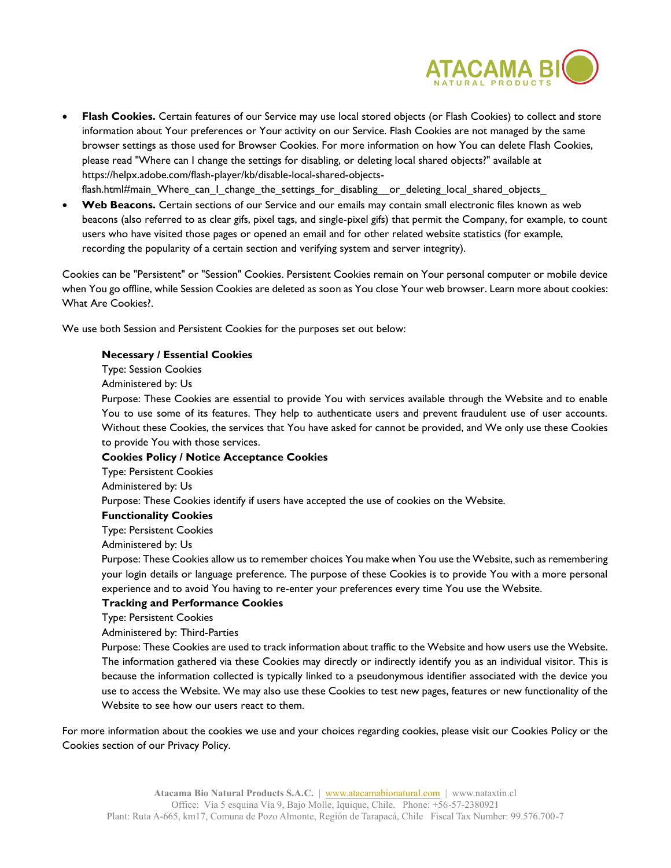

• **Flash Cookies.** Certain features of our Service may use local stored objects (or Flash Cookies) to collect and store information about Your preferences or Your activity on our Service. Flash Cookies are not managed by the same browser settings as those used for Browser Cookies. For more information on how You can delete Flash Cookies, please read "Where can I change the settings for disabling, or deleting local shared objects?" available at [https://helpx.adobe.com/flash-player/kb/disable-local-shared-objects-](https://helpx.adobe.com/flash-player/kb/disable-local-shared-objects-flash.html#main_Where_can_I_change_the_settings_for_disabling__or_deleting_local_shared_objects_)

[flash.html#main\\_Where\\_can\\_I\\_change\\_the\\_settings\\_for\\_disabling\\_\\_or\\_deleting\\_local\\_shared\\_objects\\_](https://helpx.adobe.com/flash-player/kb/disable-local-shared-objects-flash.html#main_Where_can_I_change_the_settings_for_disabling__or_deleting_local_shared_objects_)

Web Beacons. Certain sections of our Service and our emails may contain small electronic files known as web beacons (also referred to as clear gifs, pixel tags, and single-pixel gifs) that permit the Company, for example, to count users who have visited those pages or opened an email and for other related website statistics (for example, recording the popularity of a certain section and verifying system and server integrity).

Cookies can be "Persistent" or "Session" Cookies. Persistent Cookies remain on Your personal computer or mobile device when You go offline, while Session Cookies are deleted as soon as You close Your web browser. Learn more about cookies: [What Are Cookies?.](https://www.privacypolicies.com/blog/cookies/)

We use both Session and Persistent Cookies for the purposes set out below:

#### **Necessary / Essential Cookies**

Type: Session Cookies Administered by: Us Purpose: These Cookies are essential to provide You with services available through the Website and to enable You to use some of its features. They help to authenticate users and prevent fraudulent use of user accounts. Without these Cookies, the services that You have asked for cannot be provided, and We only use these Cookies to provide You with those services.

#### **Cookies Policy / Notice Acceptance Cookies**

Type: Persistent Cookies

Administered by: Us

Purpose: These Cookies identify if users have accepted the use of cookies on the Website.

#### **Functionality Cookies**

Type: Persistent Cookies

Administered by: Us

Purpose: These Cookies allow us to remember choices You make when You use the Website, such as remembering your login details or language preference. The purpose of these Cookies is to provide You with a more personal experience and to avoid You having to re-enter your preferences every time You use the Website.

## **Tracking and Performance Cookies**

Type: Persistent Cookies

Administered by: Third-Parties

Purpose: These Cookies are used to track information about traffic to the Website and how users use the Website. The information gathered via these Cookies may directly or indirectly identify you as an individual visitor. This is because the information collected is typically linked to a pseudonymous identifier associated with the device you use to access the Website. We may also use these Cookies to test new pages, features or new functionality of the Website to see how our users react to them.

For more information about the cookies we use and your choices regarding cookies, please visit our Cookies Policy or the Cookies section of our Privacy Policy.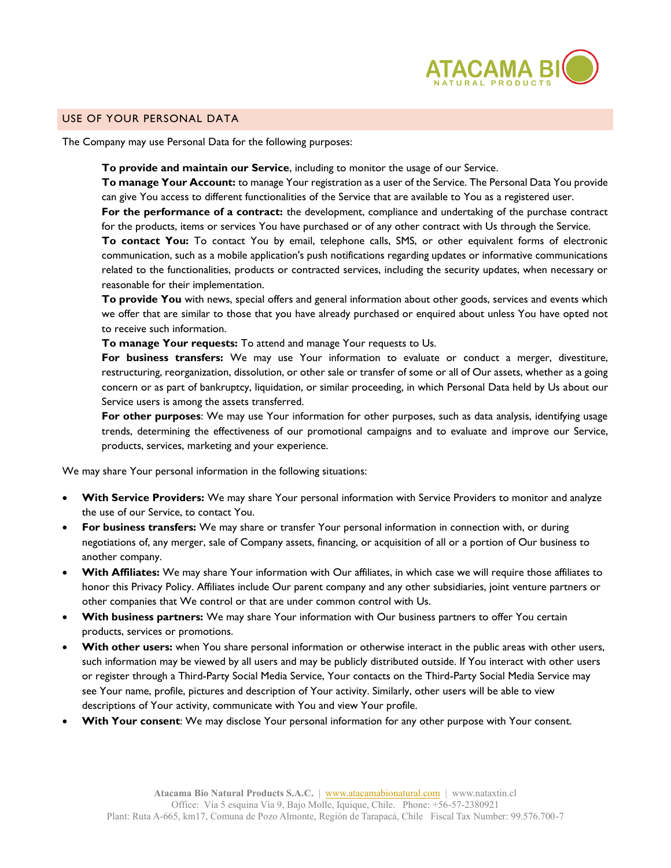

## USE OF YOUR PERSONAL DATA

The Company may use Personal Data for the following purposes:

**To provide and maintain our Service**, including to monitor the usage of our Service.

**To manage Your Account:** to manage Your registration as a user of the Service. The Personal Data You provide can give You access to different functionalities of the Service that are available to You as a registered user.

**For the performance of a contract:** the development, compliance and undertaking of the purchase contract for the products, items or services You have purchased or of any other contract with Us through the Service.

**To contact You:** To contact You by email, telephone calls, SMS, or other equivalent forms of electronic communication, such as a mobile application's push notifications regarding updates or informative communications related to the functionalities, products or contracted services, including the security updates, when necessary or reasonable for their implementation.

**To provide You** with news, special offers and general information about other goods, services and events which we offer that are similar to those that you have already purchased or enquired about unless You have opted not to receive such information.

**To manage Your requests:** To attend and manage Your requests to Us.

**For business transfers:** We may use Your information to evaluate or conduct a merger, divestiture, restructuring, reorganization, dissolution, or other sale or transfer of some or all of Our assets, whether as a going concern or as part of bankruptcy, liquidation, or similar proceeding, in which Personal Data held by Us about our Service users is among the assets transferred.

**For other purposes**: We may use Your information for other purposes, such as data analysis, identifying usage trends, determining the effectiveness of our promotional campaigns and to evaluate and improve our Service, products, services, marketing and your experience.

We may share Your personal information in the following situations:

- **With Service Providers:** We may share Your personal information with Service Providers to monitor and analyze the use of our Service, to contact You.
- **For business transfers:** We may share or transfer Your personal information in connection with, or during negotiations of, any merger, sale of Company assets, financing, or acquisition of all or a portion of Our business to another company.
- **With Affiliates:** We may share Your information with Our affiliates, in which case we will require those affiliates to honor this Privacy Policy. Affiliates include Our parent company and any other subsidiaries, joint venture partners or other companies that We control or that are under common control with Us.
- **With business partners:** We may share Your information with Our business partners to offer You certain products, services or promotions.
- **With other users:** when You share personal information or otherwise interact in the public areas with other users, such information may be viewed by all users and may be publicly distributed outside. If You interact with other users or register through a Third-Party Social Media Service, Your contacts on the Third-Party Social Media Service may see Your name, profile, pictures and description of Your activity. Similarly, other users will be able to view descriptions of Your activity, communicate with You and view Your profile.
- **With Your consent**: We may disclose Your personal information for any other purpose with Your consent.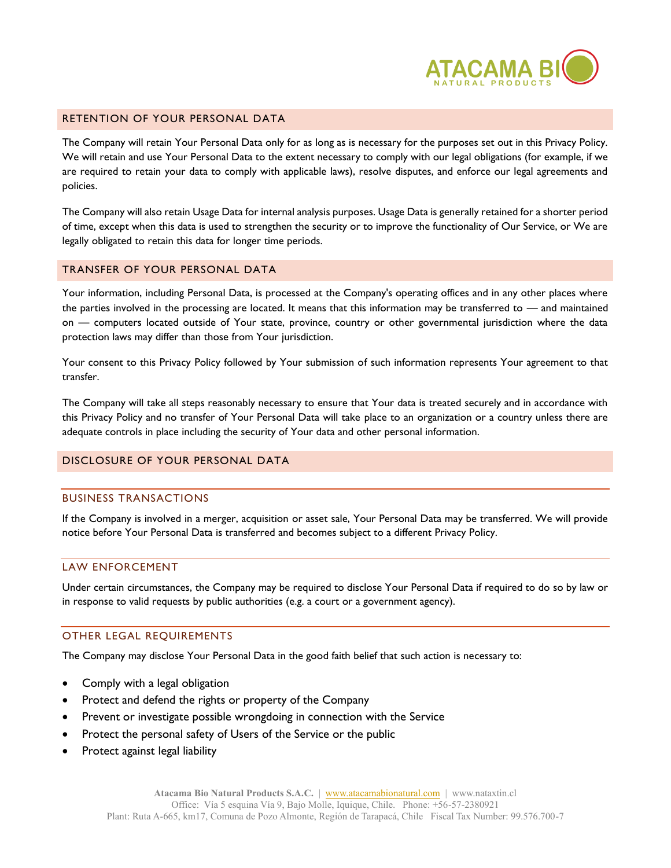

## RETENTION OF YOUR PERSONAL DATA

The Company will retain Your Personal Data only for as long as is necessary for the purposes set out in this Privacy Policy. We will retain and use Your Personal Data to the extent necessary to comply with our legal obligations (for example, if we are required to retain your data to comply with applicable laws), resolve disputes, and enforce our legal agreements and policies.

The Company will also retain Usage Data for internal analysis purposes. Usage Data is generally retained for a shorter period of time, except when this data is used to strengthen the security or to improve the functionality of Our Service, or We are legally obligated to retain this data for longer time periods.

#### TRANSFER OF YOUR PERSONAL DATA

Your information, including Personal Data, is processed at the Company's operating offices and in any other places where the parties involved in the processing are located. It means that this information may be transferred to — and maintained on — computers located outside of Your state, province, country or other governmental jurisdiction where the data protection laws may differ than those from Your jurisdiction.

Your consent to this Privacy Policy followed by Your submission of such information represents Your agreement to that transfer.

The Company will take all steps reasonably necessary to ensure that Your data is treated securely and in accordance with this Privacy Policy and no transfer of Your Personal Data will take place to an organization or a country unless there are adequate controls in place including the security of Your data and other personal information.

## DISCLOSURE OF YOUR PERSONAL DATA

## BUSINESS TRANSACTIONS

If the Company is involved in a merger, acquisition or asset sale, Your Personal Data may be transferred. We will provide notice before Your Personal Data is transferred and becomes subject to a different Privacy Policy.

#### LAW ENFORCEMENT

Under certain circumstances, the Company may be required to disclose Your Personal Data if required to do so by law or in response to valid requests by public authorities (e.g. a court or a government agency).

#### OTHER LEGAL REQUIREMENTS

The Company may disclose Your Personal Data in the good faith belief that such action is necessary to:

- Comply with a legal obligation
- Protect and defend the rights or property of the Company
- Prevent or investigate possible wrongdoing in connection with the Service
- Protect the personal safety of Users of the Service or the public
- Protect against legal liability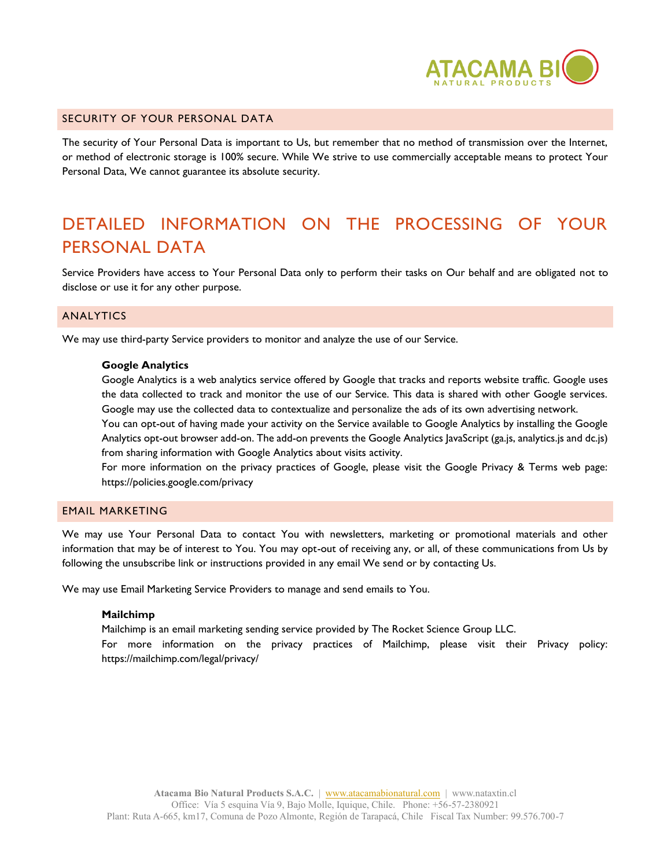

## SECURITY OF YOUR PERSONAL DATA

The security of Your Personal Data is important to Us, but remember that no method of transmission over the Internet, or method of electronic storage is 100% secure. While We strive to use commercially acceptable means to protect Your Personal Data, We cannot guarantee its absolute security.

# DETAILED INFORMATION ON THE PROCESSING OF YOUR PERSONAL DATA

Service Providers have access to Your Personal Data only to perform their tasks on Our behalf and are obligated not to disclose or use it for any other purpose.

## ANALYTICS

We may use third-party Service providers to monitor and analyze the use of our Service.

#### **Google Analytics**

Google Analytics is a web analytics service offered by Google that tracks and reports website traffic. Google uses the data collected to track and monitor the use of our Service. This data is shared with other Google services. Google may use the collected data to contextualize and personalize the ads of its own advertising network.

You can opt-out of having made your activity on the Service available to Google Analytics by installing the Google Analytics opt-out browser add-on. The add-on prevents the Google Analytics JavaScript (ga.js, analytics.js and dc.js) from sharing information with Google Analytics about visits activity.

For more information on the privacy practices of Google, please visit the Google Privacy & Terms web page: <https://policies.google.com/privacy>

## EMAIL MARKETING

We may use Your Personal Data to contact You with newsletters, marketing or promotional materials and other information that may be of interest to You. You may opt-out of receiving any, or all, of these communications from Us by following the unsubscribe link or instructions provided in any email We send or by contacting Us.

We may use Email Marketing Service Providers to manage and send emails to You.

#### **Mailchimp**

Mailchimp is an email marketing sending service provided by The Rocket Science Group LLC.

For more information on the privacy practices of Mailchimp, please visit their Privacy policy: <https://mailchimp.com/legal/privacy/>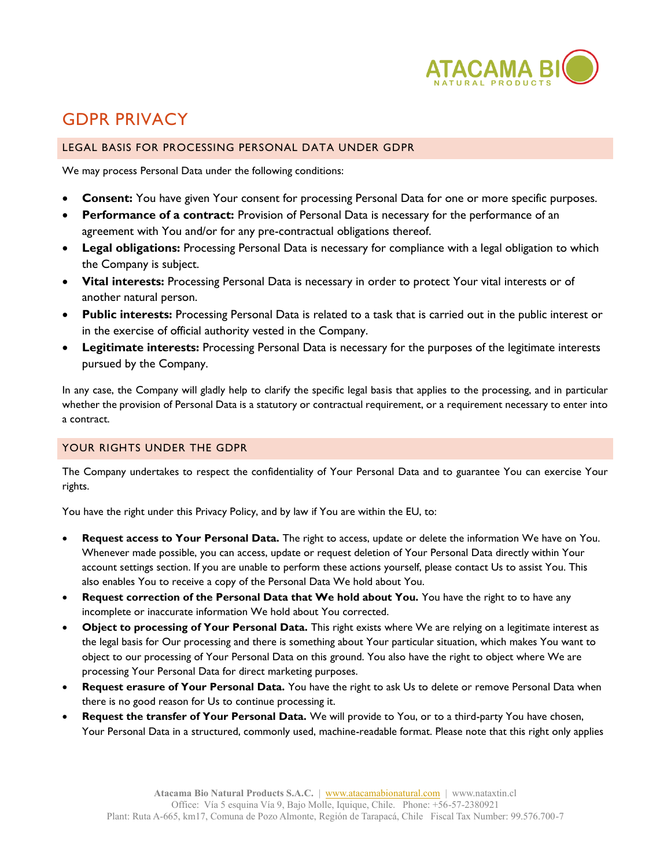

## GDPR PRIVACY

## LEGAL BASIS FOR PROCESSING PERSONAL DATA UNDER GDPR

We may process Personal Data under the following conditions:

- **Consent:** You have given Your consent for processing Personal Data for one or more specific purposes.
- **Performance of a contract:** Provision of Personal Data is necessary for the performance of an agreement with You and/or for any pre-contractual obligations thereof.
- **Legal obligations:** Processing Personal Data is necessary for compliance with a legal obligation to which the Company is subject.
- **Vital interests:** Processing Personal Data is necessary in order to protect Your vital interests or of another natural person.
- **Public interests:** Processing Personal Data is related to a task that is carried out in the public interest or in the exercise of official authority vested in the Company.
- **Legitimate interests:** Processing Personal Data is necessary for the purposes of the legitimate interests pursued by the Company.

In any case, the Company will gladly help to clarify the specific legal basis that applies to the processing, and in particular whether the provision of Personal Data is a statutory or contractual requirement, or a requirement necessary to enter into a contract.

## YOUR RIGHTS UNDER THE GDPR

The Company undertakes to respect the confidentiality of Your Personal Data and to guarantee You can exercise Your rights.

You have the right under this Privacy Policy, and by law if You are within the EU, to:

- **Request access to Your Personal Data.** The right to access, update or delete the information We have on You. Whenever made possible, you can access, update or request deletion of Your Personal Data directly within Your account settings section. If you are unable to perform these actions yourself, please contact Us to assist You. This also enables You to receive a copy of the Personal Data We hold about You.
- **Request correction of the Personal Data that We hold about You.** You have the right to to have any incomplete or inaccurate information We hold about You corrected.
- **Object to processing of Your Personal Data.** This right exists where We are relying on a legitimate interest as the legal basis for Our processing and there is something about Your particular situation, which makes You want to object to our processing of Your Personal Data on this ground. You also have the right to object where We are processing Your Personal Data for direct marketing purposes.
- **Request erasure of Your Personal Data.** You have the right to ask Us to delete or remove Personal Data when there is no good reason for Us to continue processing it.
- **Request the transfer of Your Personal Data.** We will provide to You, or to a third-party You have chosen, Your Personal Data in a structured, commonly used, machine-readable format. Please note that this right only applies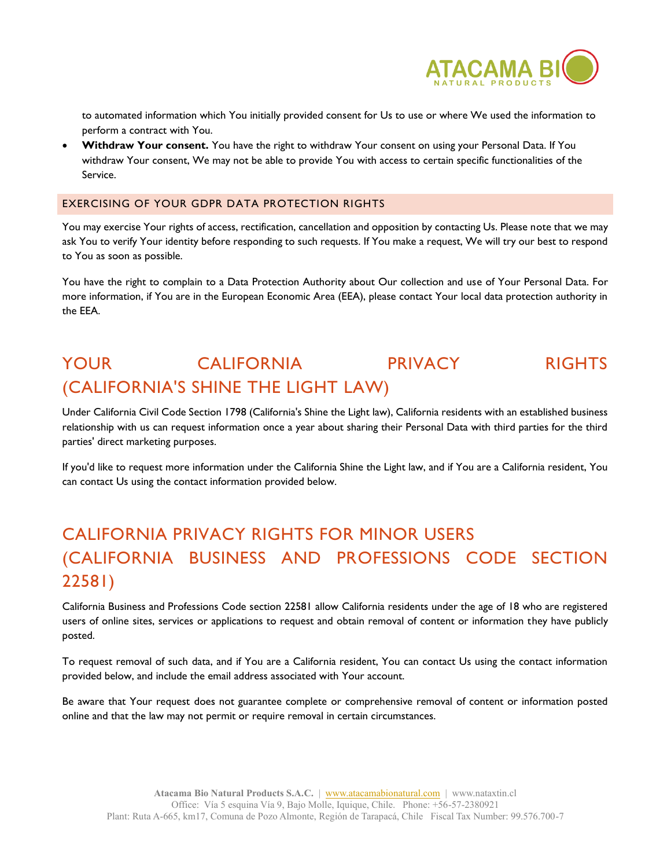

to automated information which You initially provided consent for Us to use or where We used the information to perform a contract with You.

Withdraw Your consent. You have the right to withdraw Your consent on using your Personal Data. If You withdraw Your consent, We may not be able to provide You with access to certain specific functionalities of the Service.

## EXERCISING OF YOUR GDPR DATA PROTECTION RIGHTS

You may exercise Your rights of access, rectification, cancellation and opposition by contacting Us. Please note that we may ask You to verify Your identity before responding to such requests. If You make a request, We will try our best to respond to You as soon as possible.

You have the right to complain to a Data Protection Authority about Our collection and use of Your Personal Data. For more information, if You are in the European Economic Area (EEA), please contact Your local data protection authority in the EEA.

# YOUR CALIFORNIA PRIVACY RIGHTS (CALIFORNIA'S SHINE THE LIGHT LAW)

Under California Civil Code Section 1798 (California's Shine the Light law), California residents with an established business relationship with us can request information once a year about sharing their Personal Data with third parties for the third parties' direct marketing purposes.

If you'd like to request more information under the California Shine the Light law, and if You are a California resident, You can contact Us using the contact information provided below.

# CALIFORNIA PRIVACY RIGHTS FOR MINOR USERS (CALIFORNIA BUSINESS AND PROFESSIONS CODE SECTION 22581)

California Business and Professions Code section 22581 allow California residents under the age of 18 who are registered users of online sites, services or applications to request and obtain removal of content or information they have publicly posted.

To request removal of such data, and if You are a California resident, You can contact Us using the contact information provided below, and include the email address associated with Your account.

Be aware that Your request does not guarantee complete or comprehensive removal of content or information posted online and that the law may not permit or require removal in certain circumstances.